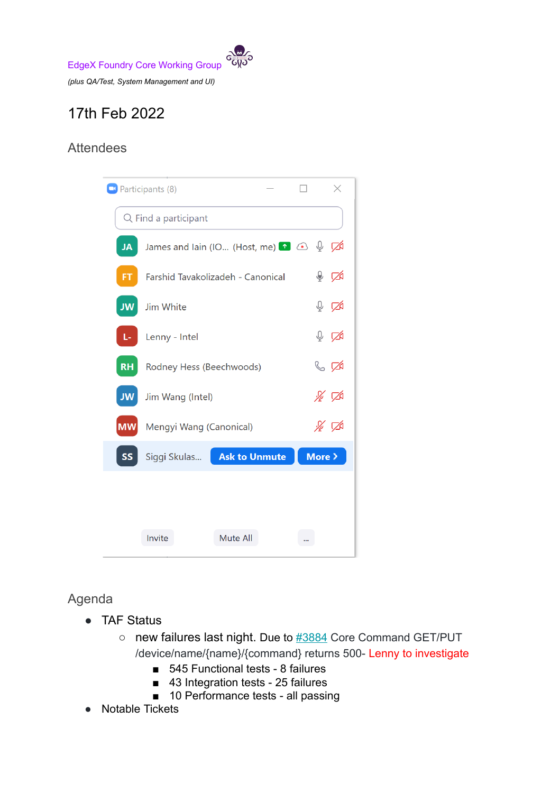

# 17th Feb 2022

## Attendees



### Agenda

- TAF Status
	- $\circ$  new failures last night. Due to  $\frac{\#3884}{4}$  $\frac{\#3884}{4}$  $\frac{\#3884}{4}$  Core Command GET/PUT /device/name/{name}/{command} returns 500- Lenny to investigate
		- 545 Functional tests 8 failures
		- 43 Integration tests 25 failures
		- 10 Performance tests all passing
- **Notable Tickets**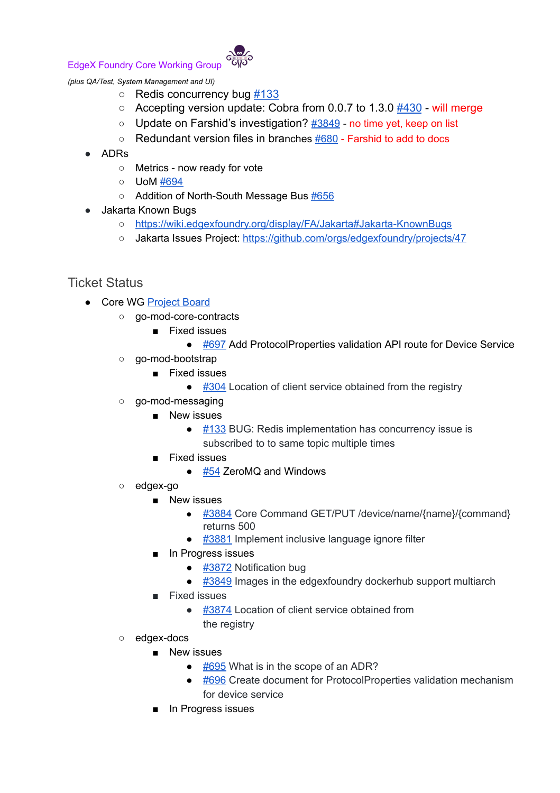#### EdgeX Foundry Core Working Group



*(plus QA/Test, System Management and UI)*

- Redis concurrency bug [#133](https://github.com/edgexfoundry/go-mod-messaging/issues/133)
- $\circ$  Accepting version update: Cobra from 0.0.7 to 1.3.0  $\#430$  $\#430$  will merge
- Update on Farshid's investigation? [#3849](https://github.com/edgexfoundry/edgex-go/issues/3849) no time yet, keep on list
- $\circ$  Redundant version files in branches  $#680$  Farshid to add to docs
- ADRs
	- Metrics now ready for vote
	- UoM [#694](https://github.com/edgexfoundry/edgex-docs/pull/694)
	- Addition of North-South Message Bus [#656](https://github.com/edgexfoundry/edgex-docs/pull/656)
- Jakarta Known Bugs
	- <https://wiki.edgexfoundry.org/display/FA/Jakarta#Jakarta-KnownBugs>
	- o Jakarta Issues Project: <https://github.com/orgs/edgexfoundry/projects/47>

#### Ticket Status

- Core WG [Project](https://github.com/orgs/edgexfoundry/projects/25) Board
	- go-mod-core-contracts
		- Fixed issues
			- [#697](https://github.com/edgexfoundry/go-mod-core-contracts/issues/697) Add ProtocolProperties validation API route for Device Service
	- go-mod-bootstrap
		- Fixed issues
			- [#304](https://github.com/edgexfoundry/go-mod-bootstrap/issues/304) Location of client service obtained from the registry
	- go-mod-messaging
		- New issues
			- $\bullet$  [#133](https://github.com/edgexfoundry/go-mod-messaging/issues/133) BUG: Redis implementation has concurrency issue is subscribed to to same topic multiple times
		- Fixed issues
			- $\bullet$  [#54](https://github.com/edgexfoundry/go-mod-messaging/issues/54) ZeroMQ and Windows
	- edgex-go
		- New issues
			- [#3884](https://github.com/edgexfoundry/edgex-go/issues/3884) Core Command GET/PUT /device/name/{name}/{command} returns 500
			- [#3881](https://github.com/edgexfoundry/edgex-go/issues/3881) Implement inclusive language ignore filter
		- In Progress issues
			- [#3872](https://github.com/edgexfoundry/edgex-go/issues/3872) Notification bug
			- [#3849](https://github.com/edgexfoundry/edgex-go/issues/3849) Images in the edgexfoundry dockerhub support multiarch
		- Fixed issues
			- [#3874](https://github.com/edgexfoundry/edgex-go/issues/3874) Location of client service obtained from the registry
	- edgex-docs
		- New issues
			- $\bullet$  [#695](https://github.com/edgexfoundry/edgex-docs/issues/695) What is in the scope of an ADR?
			- [#696](https://github.com/edgexfoundry/edgex-docs/issues/696) Create document for ProtocolProperties validation mechanism for device service
		- In Progress issues